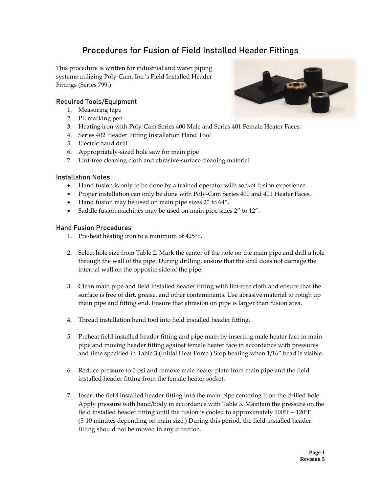# **Procedures for Fusion of Field Installed Header Fittings**

This procedure is written for industrial and water piping systems utilizing Poly-Cam, Inc.'s Field Installed Header Fittings (Series 799.)

## **Required Tools/Equipment**

- 1. Measuring tape
- 2. PE marking pen
- 3. Heating iron with Poly-Cam Series 400 Male and Series 401 Female Heater Faces.
- 4. Series 402 Header Fitting Installation Hand Tool
- 5. Electric hand drill
- 6. Appropriately-sized hole saw for main pipe
- 7. Lint-free cleaning cloth and abrasive-surface cleaning material

### **Installation Notes**

- Hand fusion is only to be done by a trained operator with socket fusion experience.
- Proper installation can only be done with Poly-Cam Series 400 and 401 Heater Faces.
- Hand fusion may be used on main pipe sizes 2" to 64".
- Saddle fusion machines may be used on main pipe sizes 2" to 12".

## **Hand Fusion Procedures**

- 1. Pre-heat heating iron to a minimum of 425°F.
- 2. Select hole size from Table 2. Mark the center of the hole on the main pipe and drill a hole through the wall of the pipe. During drilling, ensure that the drill does not damage the internal wall on the opposite side of the pipe.
- 3. Clean main pipe and field installed header fitting with lint-free cloth and ensure that the surface is free of dirt, grease, and other contaminants. Use abrasive material to rough up main pipe and fitting end. Ensure that abrasion on pipe is larger than fusion area.
- 4. Thread installation hand tool into field installed header fitting.
- 5. Preheat field installed header fitting and pipe main by inserting male heater face in main pipe and moving header fitting against female heater face in accordance with pressures and time specified in Table 3 (Initial Heat Force.) Stop heating when 1/16" bead is visible.
- 6. Reduce pressure to 0 psi and remove male heater plate from main pipe and the field installed header fitting from the female heater socket.
- 7. Insert the field installed header fitting into the main pipe centering it on the drilled hole. Apply pressure with hand/body in accordance with Table 3. Maintain the pressure on the field installed header fitting until the fusion is cooled to approximately  $100\text{°F} - 120\text{°F}$ (5-10 minutes depending on main size.) During this period, the field installed header fitting should not be moved in any direction.